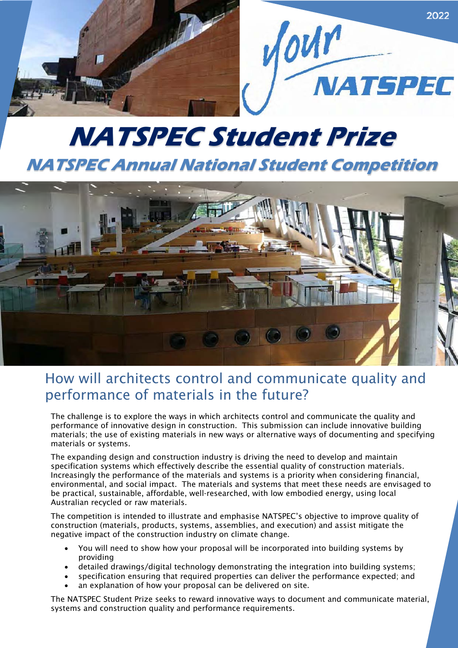

# **NATSPEC Student Prize NATSPEC Annual National Student Competition**



### How will architects control and communicate quality and performance of materials in the future?

The challenge is to explore the ways in which architects control and communicate the quality and performance of innovative design in construction. This submission can include innovative building materials; the use of existing materials in new ways or alternative ways of documenting and specifying materials or systems.

The expanding design and construction industry is driving the need to develop and maintain specification systems which effectively describe the essential quality of construction materials. Increasingly the performance of the materials and systems is a priority when considering financial, environmental, and social impact. The materials and systems that meet these needs are envisaged to be practical, sustainable, affordable, well-researched, with low embodied energy, using local Australian recycled or raw materials.

The competition is intended to illustrate and emphasise NATSPEC's objective to improve quality of construction (materials, products, systems, assemblies, and execution) and assist mitigate the negative impact of the construction industry on climate change.

- You will need to show how your proposal will be incorporated into building systems by providing
- detailed drawings/digital technology demonstrating the integration into building systems;
- specification ensuring that required properties can deliver the performance expected; and
- an explanation of how your proposal can be delivered on site.

The NATSPEC Student Prize seeks to reward innovative ways to document and communicate material, systems and construction quality and performance requirements.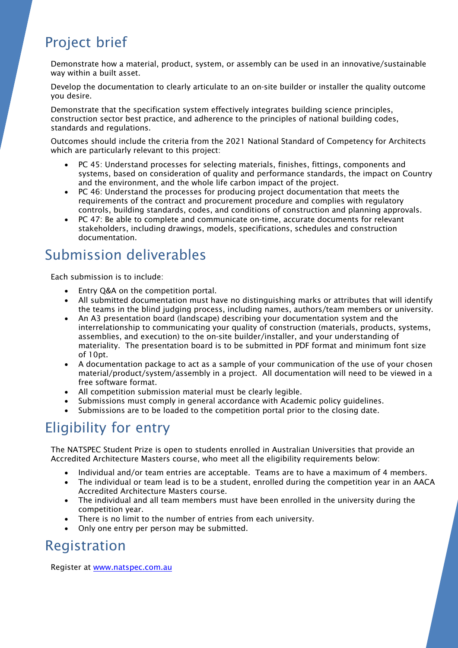# Project brief

Demonstrate how a material, product, system, or assembly can be used in an innovative/sustainable way within a built asset.

Develop the documentation to clearly articulate to an on-site builder or installer the quality outcome you desire.

Demonstrate that the specification system effectively integrates building science principles, construction sector best practice, and adherence to the principles of national building codes, standards and regulations.

Outcomes should include the criteria from the 2021 National Standard of Competency for Architects which are particularly relevant to this project:

- PC 45: Understand processes for selecting materials, finishes, fittings, components and systems, based on consideration of quality and performance standards, the impact on Country and the environment, and the whole life carbon impact of the project.
- PC 46: Understand the processes for producing project documentation that meets the requirements of the contract and procurement procedure and complies with regulatory controls, building standards, codes, and conditions of construction and planning approvals.
- PC 47: Be able to complete and communicate on-time, accurate documents for relevant stakeholders, including drawings, models, specifications, schedules and construction documentation.

## Submission deliverables

Each submission is to include:

- Entry Q&A on the competition portal.
- All submitted documentation must have no distinguishing marks or attributes that will identify the teams in the blind judging process, including names, authors/team members or university.
- An A3 presentation board (landscape) describing your documentation system and the interrelationship to communicating your quality of construction (materials, products, systems, assemblies, and execution) to the on-site builder/installer, and your understanding of materiality. The presentation board is to be submitted in PDF format and minimum font size of 10pt.
- A documentation package to act as a sample of your communication of the use of your chosen material/product/system/assembly in a project. All documentation will need to be viewed in a free software format.
- All competition submission material must be clearly legible.
- Submissions must comply in general accordance with Academic policy guidelines.
- Submissions are to be loaded to the competition portal prior to the closing date.

# Eligibility for entry

The NATSPEC Student Prize is open to students enrolled in Australian Universities that provide an Accredited Architecture Masters course, who meet all the eligibility requirements below:

- Individual and/or team entries are acceptable. Teams are to have a maximum of 4 members.
- The individual or team lead is to be a student, enrolled during the competition year in an AACA Accredited Architecture Masters course.
- The individual and all team members must have been enrolled in the university during the competition year.
- There is no limit to the number of entries from each university.
- Only one entry per person may be submitted.

### Registration

Register at www.natspec.com.au